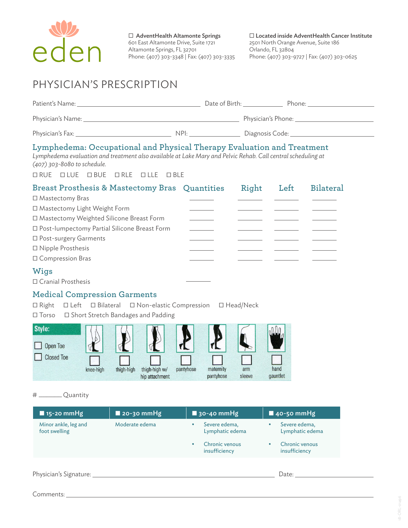

 $\square$  AdventHealth Altamonte Springs 601 East Altamonte Drive, Suite 1721 Altamonte Springs, FL 32701 Phone: (407) 303-3348 | Fax: (407) 303-3335  $\square$  Located inside AdventHealth Cancer Institute 2501 North Orange Avenue, Suite 186 Orlando, FL 32804 Phone: (407) 303-9727 | Fax: (407) 303-0625

# PHYSICIAN'S PRESCRIPTION

| Patient's Name:   |      | Date of Birth:<br>Phone: |  |
|-------------------|------|--------------------------|--|
| Physician's Name: |      | Physician's Phone:       |  |
| Physician's Fax:  | NPI: | Diagnosis Code:          |  |

# **Lymphedema: Occupational and Physical Therapy Evaluation and Treatment**

*Lymphedema evaluation and treatment also available at Lake Mary and Pelvic Rehab. Call central scheduling at (407) 303-8080 to schedule.*

• RUE • LUE • BUE • RLE • LLE • BLE

| Breast Prosthesis & Mastectomy Bras Quantities | Right | Left | <b>Bilateral</b> |
|------------------------------------------------|-------|------|------------------|
| □ Mastectomy Bras                              |       |      |                  |
| □ Mastectomy Light Weight Form                 |       |      |                  |
| □ Mastectomy Weighted Silicone Breast Form     |       |      |                  |
| □ Post-lumpectomy Partial Silicone Breast Form |       |      |                  |
| □ Post-surgery Garments                        |       |      |                  |
| □ Nipple Prosthesis                            |       |      |                  |
| □ Compression Bras                             |       |      |                  |
| $TAT: -$                                       |       |      |                  |

## **Wigs**

• Cranial Prosthesis

## **Medical Compression Garments**

• Right • Left • Bilateral • Non-elastic Compression • Head/Neck • Torso • Short Stretch Bandages and Padding

| Style:<br>Open Toe |           |            |                                 |           |                        |               |                  |
|--------------------|-----------|------------|---------------------------------|-----------|------------------------|---------------|------------------|
| <b>Closed Toe</b>  | knee-high | thigh-high | thigh-high w/<br>hip attachment | pantyhose | maternity<br>pantyhose | arm<br>sleeve | hand<br>gauntlet |

#### # \_\_\_\_\_\_ Quantity

| $\blacksquare$ 15-20 mmHg             | $\blacksquare$ 20-30 mmHg | $\blacksquare$ 30-40 mmHg        | $\blacksquare$ 40-50 mmHg             |
|---------------------------------------|---------------------------|----------------------------------|---------------------------------------|
| Minor ankle, leg and<br>foot swelling | Moderate edema            | Severe edema,<br>Lymphatic edema | Severe edema,<br>٠<br>Lymphatic edema |
|                                       |                           | Chronic venous<br>insufficiency  | Chronic venous<br>insufficiency       |
|                                       |                           |                                  |                                       |
| Physician's Signature:                |                           |                                  | Date:                                 |

## Comments:

ORL-01496